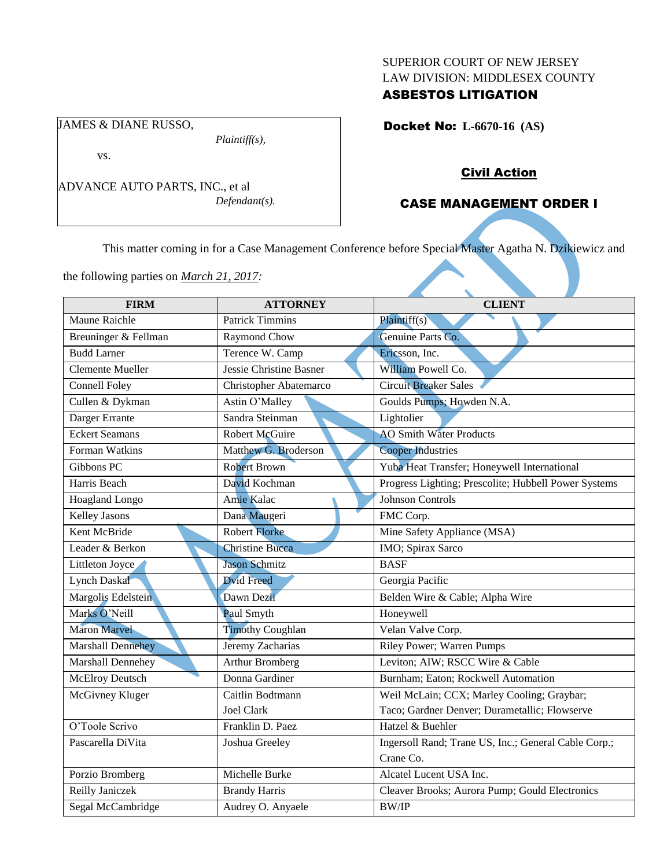### SUPERIOR COURT OF NEW JERSEY LAW DIVISION: MIDDLESEX COUNTY

## ASBESTOS LITIGATION

Docket No: **L-6670-16 (AS)** 

# vs.

JAMES & DIANE RUSSO,

ADVANCE AUTO PARTS, INC., et al *Defendant(s).*

*Plaintiff(s),*

## Civil Action

## CASE MANAGEMENT ORDER I

This matter coming in for a Case Management Conference before Special Master Agatha N. Dzikiewicz and

the following parties on *March 21, 2017:*

| <b>FIRM</b>              | <b>ATTORNEY</b>         | <b>CLIENT</b>                                        |
|--------------------------|-------------------------|------------------------------------------------------|
| Maune Raichle            | <b>Patrick Timmins</b>  | Plaintiff(s)                                         |
| Breuninger & Fellman     | Raymond Chow            | Genuine Parts Co.                                    |
| <b>Budd Larner</b>       | Terence W. Camp         | Ericsson, Inc.                                       |
| <b>Clemente Mueller</b>  | Jessie Christine Basner | William Powell Co.                                   |
| <b>Connell Foley</b>     | Christopher Abatemarco  | <b>Circuit Breaker Sales</b>                         |
| Cullen & Dykman          | Astin O'Malley          | Goulds Pumps; Howden N.A.                            |
| Darger Errante           | Sandra Steinman         | Lightolier                                           |
| <b>Eckert Seamans</b>    | Robert McGuire          | <b>AO</b> Smith Water Products                       |
| Forman Watkins           | Matthew G. Broderson    | <b>Cooper Industries</b>                             |
| Gibbons PC               | <b>Robert Brown</b>     | Yuba Heat Transfer; Honeywell International          |
| Harris Beach             | David Kochman           | Progress Lighting; Prescolite; Hubbell Power Systems |
| Hoagland Longo           | Amie Kalac              | <b>Johnson Controls</b>                              |
| <b>Kelley Jasons</b>     | Dana Maugeri            | FMC Corp.                                            |
| Kent McBride             | <b>Robert Florke</b>    | Mine Safety Appliance (MSA)                          |
| Leader & Berkon          | <b>Christine Bucca</b>  | IMO; Spirax Sarco                                    |
| Littleton Joyce          | <b>Jason Schmitz</b>    | <b>BASF</b>                                          |
| <b>Lynch Daskal</b>      | <b>Dvid Freed</b>       | Georgia Pacific                                      |
| Margolis Edelstein       | Dawn Dezii              | Belden Wire & Cable; Alpha Wire                      |
| Marks O'Neill            | Paul Smyth              | Honeywell                                            |
| <b>Maron Marvel</b>      | <b>Timothy Coughlan</b> | Velan Valve Corp.                                    |
| <b>Marshall Dennehey</b> | Jeremy Zacharias        | Riley Power; Warren Pumps                            |
| Marshall Dennehey        | <b>Arthur Bromberg</b>  | Leviton; AIW; RSCC Wire & Cable                      |
| <b>McElroy Deutsch</b>   | Donna Gardiner          | Burnham; Eaton; Rockwell Automation                  |
| McGivney Kluger          | Caitlin Bodtmann        | Weil McLain; CCX; Marley Cooling; Graybar;           |
|                          | Joel Clark              | Taco; Gardner Denver; Durametallic; Flowserve        |
| O'Toole Scrivo           | Franklin D. Paez        | Hatzel & Buehler                                     |
| Pascarella DiVita        | Joshua Greeley          | Ingersoll Rand; Trane US, Inc.; General Cable Corp.; |
|                          |                         | Crane Co.                                            |
| Porzio Bromberg          | Michelle Burke          | Alcatel Lucent USA Inc.                              |
| Reilly Janiczek          | <b>Brandy Harris</b>    | Cleaver Brooks; Aurora Pump; Gould Electronics       |
| Segal McCambridge        | Audrey O. Anyaele       | <b>BW/IP</b>                                         |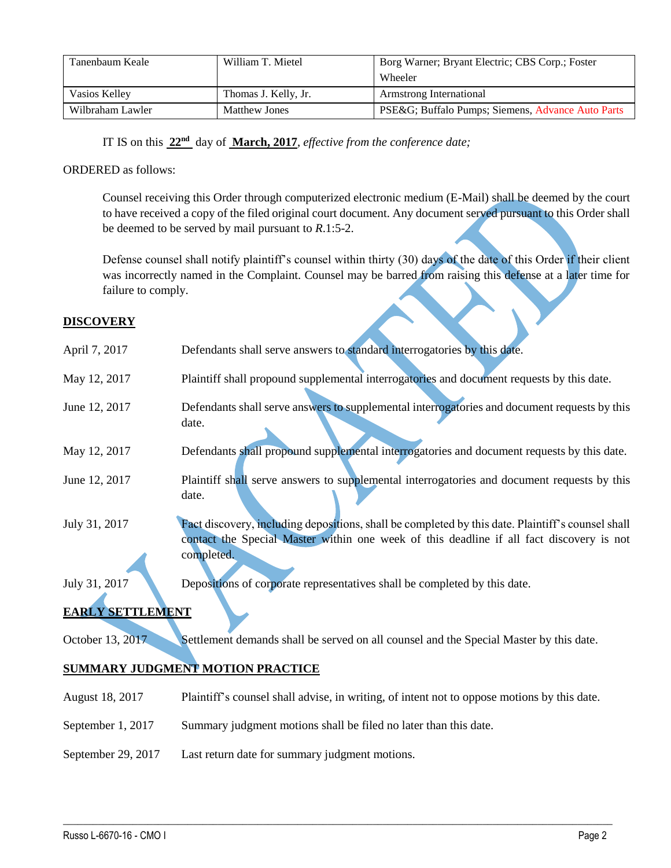| Tanenbaum Keale  | William T. Mietel    | Borg Warner; Bryant Electric; CBS Corp.; Foster<br>Wheeler |
|------------------|----------------------|------------------------------------------------------------|
|                  |                      |                                                            |
| Vasios Kelley    | Thomas J. Kelly, Jr. | Armstrong International                                    |
| Wilbraham Lawler | <b>Matthew Jones</b> | PSE&G Buffalo Pumps; Siemens, Advance Auto Parts           |

IT IS on this **22nd** day of **March, 2017**, *effective from the conference date;*

## ORDERED as follows:

Counsel receiving this Order through computerized electronic medium (E-Mail) shall be deemed by the court to have received a copy of the filed original court document. Any document served pursuant to this Order shall be deemed to be served by mail pursuant to *R*.1:5-2.

Defense counsel shall notify plaintiff's counsel within thirty (30) days of the date of this Order if their client was incorrectly named in the Complaint. Counsel may be barred from raising this defense at a later time for failure to comply.

### **DISCOVERY**

| April 7, 2017                           | Defendants shall serve answers to standard interrogatories by this date.                                                                                                                                    |  |  |
|-----------------------------------------|-------------------------------------------------------------------------------------------------------------------------------------------------------------------------------------------------------------|--|--|
| May 12, 2017                            | Plaintiff shall propound supplemental interrogatories and document requests by this date.                                                                                                                   |  |  |
| June 12, 2017                           | Defendants shall serve answers to supplemental interrogatories and document requests by this<br>date.                                                                                                       |  |  |
| May 12, 2017                            | Defendants shall propound supplemental interrogatories and document requests by this date.                                                                                                                  |  |  |
| June 12, 2017                           | Plaintiff shall serve answers to supplemental interrogatories and document requests by this<br>date.                                                                                                        |  |  |
| July 31, 2017                           | Fact discovery, including depositions, shall be completed by this date. Plaintiff's counsel shall<br>contact the Special Master within one week of this deadline if all fact discovery is not<br>completed. |  |  |
| July 31, 2017                           | Depositions of corporate representatives shall be completed by this date.                                                                                                                                   |  |  |
| <b>EARLY SETTLEMENT</b>                 |                                                                                                                                                                                                             |  |  |
| October 13, 2017                        | Settlement demands shall be served on all counsel and the Special Master by this date.                                                                                                                      |  |  |
| <b>SUMMARY JUDGMENT MOTION PRACTICE</b> |                                                                                                                                                                                                             |  |  |
| August 18, 2017                         | Plaintiff's counsel shall advise, in writing, of intent not to oppose motions by this date.                                                                                                                 |  |  |
| September 1, 2017                       | Summary judgment motions shall be filed no later than this date.                                                                                                                                            |  |  |

 $\_$  ,  $\_$  ,  $\_$  ,  $\_$  ,  $\_$  ,  $\_$  ,  $\_$  ,  $\_$  ,  $\_$  ,  $\_$  ,  $\_$  ,  $\_$  ,  $\_$  ,  $\_$  ,  $\_$  ,  $\_$  ,  $\_$  ,  $\_$  ,  $\_$  ,  $\_$  ,  $\_$  ,  $\_$  ,  $\_$  ,  $\_$  ,  $\_$  ,  $\_$  ,  $\_$  ,  $\_$  ,  $\_$  ,  $\_$  ,  $\_$  ,  $\_$  ,  $\_$  ,  $\_$  ,  $\_$  ,  $\_$  ,  $\_$  ,

September 29, 2017 Last return date for summary judgment motions.